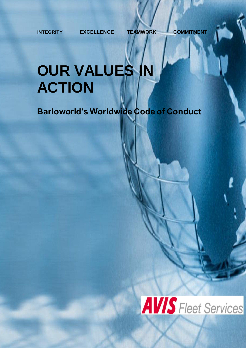**INTEGRITY EXCELLENCE TEAMWORK COMMITMENT**

# **OUR VALUES IN ACTION**

**Barloworld's Worldwide Code of Conduct**

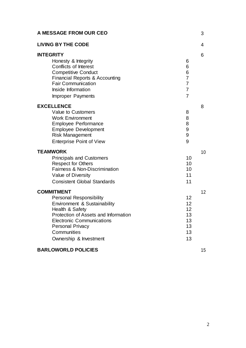| A MESSAGE FROM OUR CEO                                                                                                                                                                                                                                 |                                                                        | 3  |
|--------------------------------------------------------------------------------------------------------------------------------------------------------------------------------------------------------------------------------------------------------|------------------------------------------------------------------------|----|
| <b>LIVING BY THE CODE</b>                                                                                                                                                                                                                              |                                                                        | 4  |
| <b>INTEGRITY</b><br>Honesty & Integrity<br><b>Conflicts of Interest</b><br><b>Competitive Conduct</b><br><b>Financial Reports &amp; Accounting</b><br><b>Fair Communication</b><br>Inside Information<br><b>Improper Payments</b>                      | 6<br>6<br>6<br>$\overline{7}$<br>$\overline{7}$<br>$\overline{7}$<br>7 | 6  |
| <b>EXCELLENCE</b><br>Value to Customers<br><b>Work Environment</b><br><b>Employee Performance</b><br><b>Employee Development</b><br><b>Risk Management</b><br><b>Enterprise Point of View</b>                                                          | 8<br>8<br>8<br>9<br>9<br>9                                             | 8  |
| <b>TEAMWORK</b><br><b>Principals and Customers</b><br><b>Respect for Others</b><br>Fairness & Non-Discrimination<br>Value of Diversity<br><b>Consistent Global Standards</b>                                                                           | 10<br>10<br>10<br>11<br>11                                             | 10 |
| <b>COMMITMENT</b><br><b>Personal Responsibility</b><br>Environment & Sustainability<br>Health & Safety<br>Protection of Assets and Information<br><b>Electronic Communications</b><br><b>Personal Privacy</b><br>Communities<br>Ownership & Investment | 12<br>12<br>12<br>13<br>13<br>13<br>13<br>13                           | 12 |
|                                                                                                                                                                                                                                                        |                                                                        |    |

#### **BARLOWORLD POLICIES** 15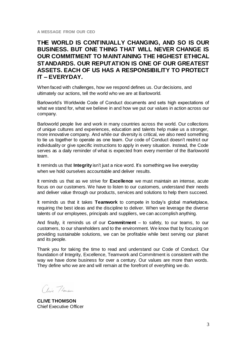**A MESSAGE FROM OUR CEO**

#### **THE WORLD IS CONTINUALLY CHANGING, AND SO IS OUR BUSINESS. BUT ONE THING THAT WILL NEVER CHANGE IS OUR COMMITMENT TO MAINTAINING THE HIGHEST ETHICAL STANDARDS. OUR REPUTATION IS ONE OF OUR GREATEST ASSETS. EACH OF US HAS A RESPONSIBILITY TO PROTECT IT – EVERYDAY.**

When faced with challenges, how we respond defines us. Our decisions, and ultimately our actions, tell the world who we are at Barloworld.

Barloworld's Worldwide Code of Conduct documents and sets high expectations of what we stand for, what we believe in and how we put our values in action across our company.

Barloworld people live and work in many countries across the world. Our collections of unique cultures and experiences, education and talents help make us a stronger, more innovative company. And while our diversity is critical, we also need something to tie us together to operate as one team. Our code of Conduct doesn't restrict our individuality or give specific instructions to apply in every situation. Instead, the Code serves as a daily reminder of what is expected from every member of the Barloworld team.

It reminds us that **Integrity** isn't just a nice word. It's something we live everyday when we hold ourselves accountable and deliver results.

It reminds us that as we strive for **Excellence** we must maintain an intense, acute focus on our customers. We have to listen to our customers, understand their needs and deliver value through our products, services and solutions to help them succeed.

It reminds us that it takes **Teamwork** to compete in today's global marketplace, requiring the best ideas and the discipline to deliver. When we leverage the diverse talents of our employees, principals and suppliers, we can accomplish anything.

And finally, it reminds us of our **Commitment** – to safety, to our teams, to our customers, to our shareholders and to the environment. We know that by focusing on providing sustainable solutions, we can be profitable while best serving our planet and its people.

Thank you for taking the time to read and understand our Code of Conduct. Our foundation of Integrity, Excellence, Teamwork and Commitment is consistent with the way we have done business for over a century. Our values are more than words. They define who we are and will remain at the forefront of everything we do.

Clive Thompson

**CLIVE THOMSON** Chief Executive Officer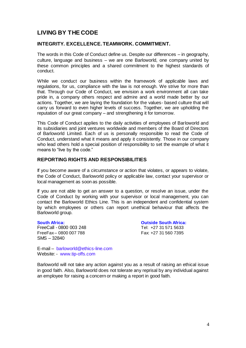### **LIVING BY THE CODE**

#### **INTEGRITY. EXCELLENCE. TEAMWORK. COMMITMENT.**

The words in this Code of Conduct define us. Despite our differences – in geography, culture, language and business – we are one Barloworld, one company united by these common principles and a shared commitment to the highest standards of conduct.

While we conduct our business within the framework of applicable laws and regulations, for us, compliance with the law is not enough. We strive for more than that. Through our Code of Conduct, we envision a work environment all can take pride in, a company others respect and admire and a world made better by our actions. Together, we are laying the foundation for the values- based culture that will carry us forward to even higher levels of success. Together, we are upholding the reputation of our great company – and strengthening it for tomorrow.

This Code of Conduct applies to the daily activities of employees of Barloworld and its subsidiaries and joint ventures worldwide and members of the Board of Directors of Barloworld Limited. Each of us is personally responsible to read the Code of Conduct, understand what it means and apply it consistently. Those in our company who lead others hold a special position of responsibility to set the example of what it means to "live by the code."

#### **REPORTING RIGHTS AND RESPONSIBILITIES**

If you become aware of a circumstance or action that violates, or appears to violate, the Code of Conduct, Barloworld policy or applicable law, contact your supervisor or local management as soon as possible.

If you are not able to get an answer to a question, or resolve an issue, under the Code of Conduct by working with your supervisor or local management, you can contact the Barloworld Ethics Line. This is an independent and confidential system by which employees or others can report unethical behaviour that affects the Barloworld group.

#### FreeCall - 0800 003 248 Tel: +27 31 571 5633 FreeFax – 0800 007 788 Fax: +27 31 560 7395 SMS – 32840

**South Africa: Outside South Africa:**

E-mail – [barloworld@ethics-line.com](mailto:barloworld@ethics-line.com) Website: - [www.tip-offs.com](http://www.tip-offs.com/)

Barloworld will not take any action against you as a result of raising an ethical issue in good faith. Also, Barloworld does not tolerate any reprisal by any individual against an employee for raising a concern or making a report in good faith.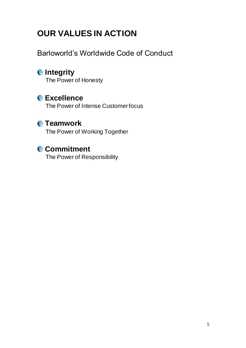# **OUR VALUES IN ACTION**

Barloworld's Worldwide Code of Conduct

## **<sup><b>**</del>**Integrity**</sup>

The Power of Honesty

## **Excellence**

The Power of Intense Customer focus

## **Teamwork**

The Power of Working Together

## **Commitment**

The Power of Responsibility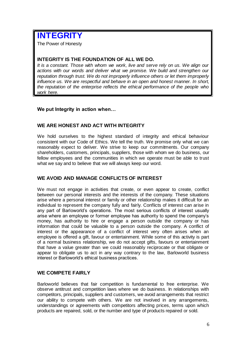# **INTEGRITY**

The Power of Honesty

#### **INTEGRITY IS THE FOUNDATION OF ALL WE DO.**

*It is a constant. Those with whom we work, live and serve rely on us. We align our actions with our words and deliver what we promise. We build and strengthen our reputation through trust. We do not improperly influence others or let them improperly influence us. We are respectful and behave in an open and honest manner. In short, the reputation of the enterprise reflects the ethical performance of the people who work here.*

#### **We put Integrity in action when…**

#### **WE ARE HONEST AND ACT WITH INTEGRITY**

We hold ourselves to the highest standard of integrity and ethical behaviour consistent with our Code of Ethics. We tell the truth. We promise only what we can reasonably expect to deliver. We strive to keep our commitments. Our company shareholders, customers, principals, suppliers, those with whom we do business, our fellow employees and the communities in which we operate must be able to trust what we say and to believe that we will always keep our word.

#### **WE AVOID AND MANAGE CONFLICTS OF INTEREST**

We must not engage in activities that create, or even appear to create, conflict between our personal interests and the interests of the company. These situations arise where a personal interest or family or other relationship makes it difficult for an individual to represent the company fully and fairly. Conflicts of interest can arise in any part of Barloworld's operations. The most serious conflicts of interest usually arise where an employee or former employee has authority to spend the company's money, has authority to hire or engage a person outside the company or has information that could be valuable to a person outside the company. A conflict of interest or the appearance of a conflict of interest very often arises when an employee is offered a gift, favour or entertainment. While some of this activity is part of a normal business relationship, we do not accept gifts, favours or entertainment that have a value greater than we could reasonably reciprocate or that obligate or appear to obligate us to act in any way contrary to the law, Barloworld business interest or Barloworld's ethical business practices.

#### **WE COMPETE FAIRLY**

Barloworld believes that fair competition is fundamental to free enterprise. We observe antitrust and competition laws where we do business. In relationships with competitors, principals, suppliers and customers, we avoid arrangements that restrict our ability to compete with others. We are not involved in any arrangements, understandings or agreements with competitors affecting prices, terms upon which products are repaired, sold, or the number and type of products repaired or sold.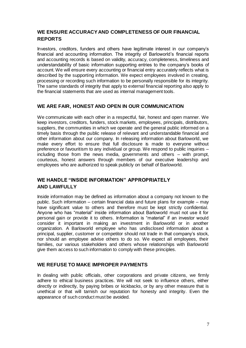#### **WE ENSURE ACCURACY AND COMPLETENESS OF OUR FINANCIAL REPORTS**

Investors, creditors, funders and others have legitimate interest in our company's financial and accounting information. The integrity of Barloworld's financial reports and accounting records is based on validity, accuracy, completeness, timeliness and understandability of basic information supporting entries to the company's books of account. We will ensure every accounting or financial entry accurately reflects what is described by the supporting information. We expect employees involved in creating, processing or recording such information to be personally responsible for its integrity. The same standards of integrity that apply to external financial reporting also apply to the financial statements that are used as internal management tools.

#### **WE ARE FAIR, HONEST AND OPEN IN OUR COMMUNICATION**

We communicate with each other in a respectful, fair, honest and open manner. We keep investors, creditors, funders, stock markets, employees, principals, distributors, suppliers, the communities in which we operate and the general public informed on a timely basis through the public release of relevant and understandable financial and other information about our company. In releasing information about Barloworld, we make every effort to ensure that full disclosure is made to everyone without preference or favouritism to any individual or group. We respond to public inquiries – including those from the news media, governments and others – with prompt, courteous, honest answers through members of our executive leadership and employees who are authorized to speak publicly on behalf of Barloworld.

#### **WE HANDLE "INSIDE INFORMATION" APPROPRIATELY AND LAWFULLY**

Inside information may be defined as information about a company not known to the public. Such information – certain financial data and future plans for example – may have significant value to others and therefore must be kept strictly confidential. Anyone who has "material" inside information about Barloworld must not use it for personal gain or provide it to others. Information is "material" if an investor would consider it important in making an investment in Barloworld or in another organization. A Barloworld employee who has undisclosed information about a principal, supplier, customer or competitor should not trade in that company's stock, nor should an employee advise others to do so. We expect all employees, their families, our various stakeholders and others whose relationships with Barloworld give them access to such information to comply with these principles.

#### **WE REFUSE TO MAKE IMPROPER PAYMENTS**

In dealing with public officials, other corporations and private citizens, we firmly adhere to ethical business practices. We will not seek to influence others, either directly or indirectly, by paying bribes or kickbacks, or by any other measure that is unethical or that will tarnish our reputation for honesty and integrity. Even the appearance of such conduct must be avoided.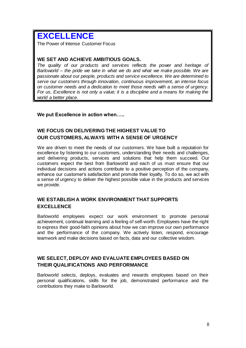# **EXCELLENCE**

The Power of Intense Customer Focus

#### **WE SET AND ACHIEVE AMBITIOUS GOALS.**

*The quality of our products and services reflects the power and heritage of Barloworld – the pride we take in what we do and what we make possible. We are passionate about our people, products and service excellence. We are determined to serve our customers through innovation, continuous improvement, an intense focus on customer needs and a dedication to meet those needs with a sense of urgency. For us, Excellence is not only a value; it is a discipline and a means for making the world a better place.*

**We put Excellence in action when…..**

#### **WE FOCUS ON DELIVERING THE HIGHEST VALUE TO OUR CUSTOMERS, ALWAYS WITH A SENSE OF URGENCY**

We are driven to meet the needs of our customers. We have built a reputation for excellence by listening to our customers, understanding their needs and challenges, and delivering products, services and solutions that help them succeed. Our customers expect the best from Barloworld and each of us must ensure that our individual decisions and actions contribute to a positive perception of the company, enhance our customer's satisfaction and promote their loyalty. To do so, we act with a sense of urgency to deliver the highest possible value in the products and services we provide.

#### **WE ESTABLISH A WORK ENVIRONMENT THAT SUPPORTS EXCELLENCE**

Barloworld employees expect our work environment to promote personal achievement, continual learning and a feeling of self-worth. Employees have the right to express their good-faith opinions about how we can improve our own performance and the performance of the company. We actively listen, respond, encourage teamwork and make decisions based on facts, data and our collective wisdom.

#### **WE SELECT, DEPLOY AND EVALUATE EMPLOYEES BASED ON THEIR QUALIFICATIONS AND PERFORMANCE**

Barloworld selects, deploys, evaluates and rewards employees based on their personal qualifications, skills for the job, demonstrated performance and the contributions they make to Barloworld.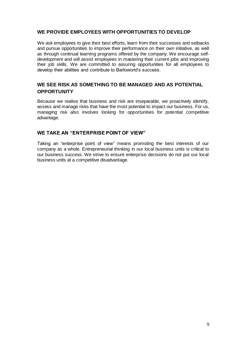#### **WE PROVIDE EMPLOYEES WITH OPPORTUNITIES TO DEVELOP**

We ask employees to give their best efforts, learn from their successes and setbacks and pursue opportunities to improve their performance on their own initiative, as well as through continual learning programs offered by the company. We encourage selfdevelopment and will assist employees in mastering their current jobs and improving their job skills. We are committed to assuring opportunities for all employees to develop their abilities and contribute to Barloworld's success.

#### **WE SEE RISK AS SOMETHING TO BE MANAGED AND AS POTENTIAL OPPORTUNITY**

Because we realise that business and risk are inseparable, we proactively identify, assess and manage risks that have the most potential to impact our business. For us, managing risk also involves looking for opportunities for potential competitive advantage.

#### **WE TAKE AN "ENTERPRISE POINT OF VIEW"**

Taking an "enterprise point of view" means promoting the best interests of our company as a whole. Entrepreneurial thinking in our local business units is critical to our business success. We strive to ensure enterprise decisions do not put our local business units at a competitive disadvantage.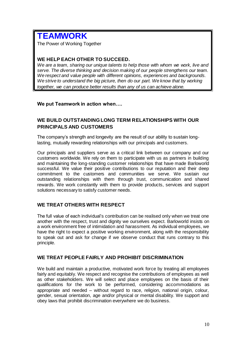## **TEAMWORK**

The Power of Working Together

#### **WE HELP EACH OTHER TO SUCCEED.**

*We are a team, sharing our unique talents to help those with whom we work, live and serve. The diverse thinking and decision making of our people strengthens our team. We respect and value people with different opinions, experiences and backgrounds.* We strive to understand the big picture, then do our part. We know that by working *together, we can produce better results than any of us can achieve alone.*

**We put Teamwork in action when….**

#### **WE BUILD OUTSTANDING LONG TERM RELATIONSHIPS WITH OUR PRINCIPALS AND CUSTOMERS**

The company's strength and longevity are the result of our ability to sustain longlasting, mutually rewarding relationships with our principals and customers.

Our principals and suppliers serve as a critical link between our company and our customers worldwide. We rely on them to participate with us as partners in building and maintaining the long-standing customer relationships that have made Barloworld successful. We value their positive contributions to our reputation and their deep commitment to the customers and communities we serve. We sustain our outstanding relationships with them through trust, communication and shared rewards. We work constantly with them to provide products, services and support solutions necessary to satisfy customer needs.

#### **WE TREAT OTHERS WITH RESPECT**

The full value of each individual's contribution can be realised only when we treat one another with the respect, trust and dignity we ourselves expect. Barloworld insists on a work environment free of intimidation and harassment. As individual employees, we have the right to expect a positive working environment, along with the responsibility to speak out and ask for change if we observe conduct that runs contrary to this principle.

#### **WE TREAT PEOPLE FAIRLY AND PROHIBIT DISCRIMINATION**

We build and maintain a productive, motivated work force by treating all employees fairly and equitably. We respect and recognise the contributions of employees as well as other stakeholders. We will select and place employees on the basis of their qualifications for the work to be performed, considering accommodations as appropriate and needed – without regard to race, religion, national origin, colour, gender, sexual orientation, age and/or physical or mental disability. We support and obey laws that prohibit discrimination everywhere we do business.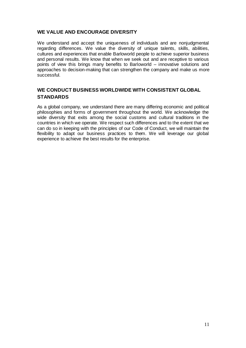#### **WE VALUE AND ENCOURAGE DIVERSITY**

We understand and accept the uniqueness of individuals and are nonjudgmental regarding differences. We value the diversity of unique talents, skills, abilities, cultures and experiences that enable Barloworld people to achieve superior business and personal results. We know that when we seek out and are receptive to various points of view this brings many benefits to Barloworld – innovative solutions and approaches to decision-making that can strengthen the company and make us more successful.

#### **WE CONDUCT BUSINESS WORLDWIDE WITH CONSISTENT GLOBAL STANDARDS**

As a global company, we understand there are many differing economic and political philosophies and forms of government throughout the world. We acknowledge the wide diversity that exits among the social customs and cultural traditions in the countries in which we operate. We respect such differences and to the extent that we can do so in keeping with the principles of our Code of Conduct, we will maintain the flexibility to adapt our business practices to them. We will leverage our global experience to achieve the best results for the enterprise.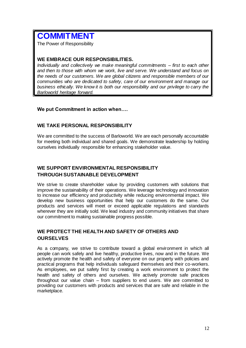## **COMMITMENT**

The Power of Responsibility

#### **WE EMBRACE OUR RESPONSIBILITIES.**

*Individually and collectively we make meaningful commitments – first to each other and then to those with whom we work, live and serve. We understand and focus on the needs of our customers. We are global citizens and responsible members of our communities who are dedicated to safety, care of our environment and manage our business ethically. We know it is both our responsibility and our privilege to carry the Barloworld heritage forward.*

#### **We put Commitment in action when….**

#### **WE TAKE PERSONAL RESPONSIBILITY**

We are committed to the success of Barloworld. We are each personally accountable for meeting both individual and shared goals. We demonstrate leadership by holding ourselves individually responsible for enhancing stakeholder value.

#### **WE SUPPORT ENVIRONMENTAL RESPONSIBILITY THROUGH SUSTAINABLE DEVELOPMENT**

We strive to create shareholder value by providing customers with solutions that improve the sustainability of their operations. We leverage technology and innovation to increase our efficiency and productivity while reducing environmental impact. We develop new business opportunities that help our customers do the same. Our products and services will meet or exceed applicable regulations and standards wherever they are initially sold. We lead industry and community initiatives that share our commitment to making sustainable progress possible.

#### **WE PROTECT THE HEALTH AND SAFETY OF OTHERS AND OURSELVES**

As a company, we strive to contribute toward a global environment in which all people can work safely and live healthy, productive lives, now and in the future. We actively promote the health and safety of everyone on our property with policies and practical programs that help individuals safeguard themselves and their co-workers. As employees, we put safety first by creating a work environment to protect the health and safety of others and ourselves. We actively promote safe practices throughout our value chain – from suppliers to end users. We are committed to providing our customers with products and services that are safe and reliable in the marketplace.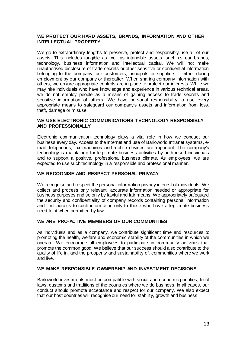#### **WE PROTECT OUR HARD ASSETS, BRANDS, INFORMATION AND OTHER INTELLECTUAL PROPERTY**

We go to extraordinary lengths to preserve, protect and responsibly use all of our assets. This includes tangible as well as intangible assets, such as our brands, technology, business information and intellectual capital. We will not make unauthorised disclosure of trade secrets or other sensitive or confidential information belonging to the company, our customers, principals or suppliers – either during employment by our company or thereafter. When sharing company information with others, we ensure appropriate controls are in place to protect our interests. While we may hire individuals who have knowledge and experience in various technical areas, we do not employ people as a means of gaining access to trade secrets and sensitive information of others. We have personal responsibility to use every appropriate means to safeguard our company's assets and information from loss, theft, damage or misuse.

#### **WE USE ELECTRONIC COMMUNICATIONS TECHNOLOGY RESPONSIBLY AND PROFESSIONALLY**

Electronic communication technology plays a vital role in how we conduct our business every day. Access to the Internet and use of Barloworld Intranet systems, email, telephones, fax machines and mobile devices are important. The company's technology is maintained for legitimate business activities by authorised individuals and to support a positive, professional business climate. As employees, we are expected to use such technology in a responsible and professional manner.

#### **WE RECOGNISE AND RESPECT PERSONAL PRIVACY**

We recognise and respect the personal information privacy interest of individuals. We collect and process only relevant, accurate information needed or appropriate for business purposes and so only by lawful and fair means. We appropriately safeguard the security and confidentiality of company records containing personal information and limit access to such information only to those who have a legitimate business need for it when permitted by law.

#### **WE ARE PRO-ACTIVE MEMBERS OF OUR COMMUNITIES**

As individuals and as a company, we contribute significant time and resources to promoting the health, welfare and economic stability of the communities in which we operate. We encourage all employees to participate in community activities that promote the common good. We believe that our success should also contribute to the quality of life in, and the prosperity and sustainability of, communities where we work and live.

#### **WE MAKE RESPONSIBLE OWNERSHIP AND INVESTMENT DECISIONS**

Barloworld investments must be compatible with social and economic priorities, local laws, customs and traditions of the countries where we do business. In all cases, our conduct should promote acceptance and respect for our company. We also expect that our host countries will recognise our need for stability, growth and business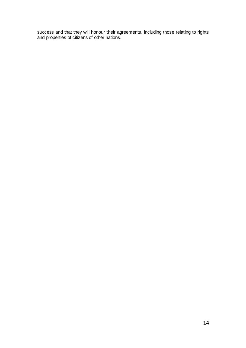success and that they will honour their agreements, including those relating to rights and properties of citizens of other nations.